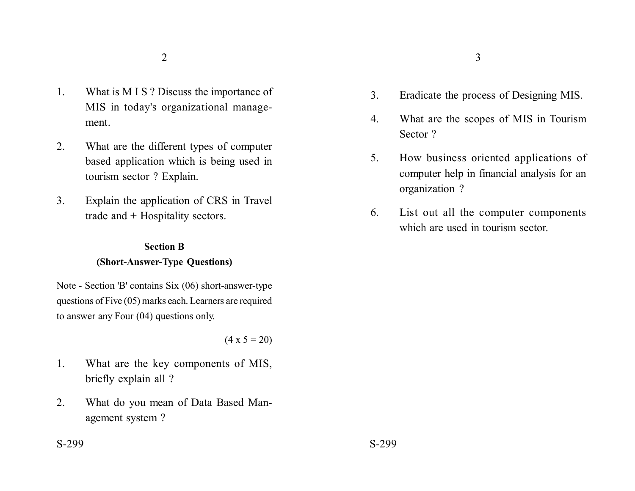- 1. What is M I S ? Discuss the importance of MIS in today's organizational management.
- 2. What are the different types of computer based application which is being used in tourism sector ? Explain.
- 3. Explain the application of CRS in Travel trade and + Hospitality sectors.

# **Section B (Short-Answer-Type Questions)**

Note - Section 'B' contains Six (06) short-answer-type questions of Five (05) marks each. Learners are required to answer any Four (04) questions only.

 $(4 \times 5 = 20)$ 

- 1. What are the key components of MIS, briefly explain all ?
- 2. What do you mean of Data Based Management system ?
- 3. Eradicate the process of Designing MIS.
- 4. What are the scopes of MIS in Tourism Sector ?
- 5. How business oriented applications of computer help in financial analysis for an organization ?
- 6. List out all the computer components which are used in tourism sector.